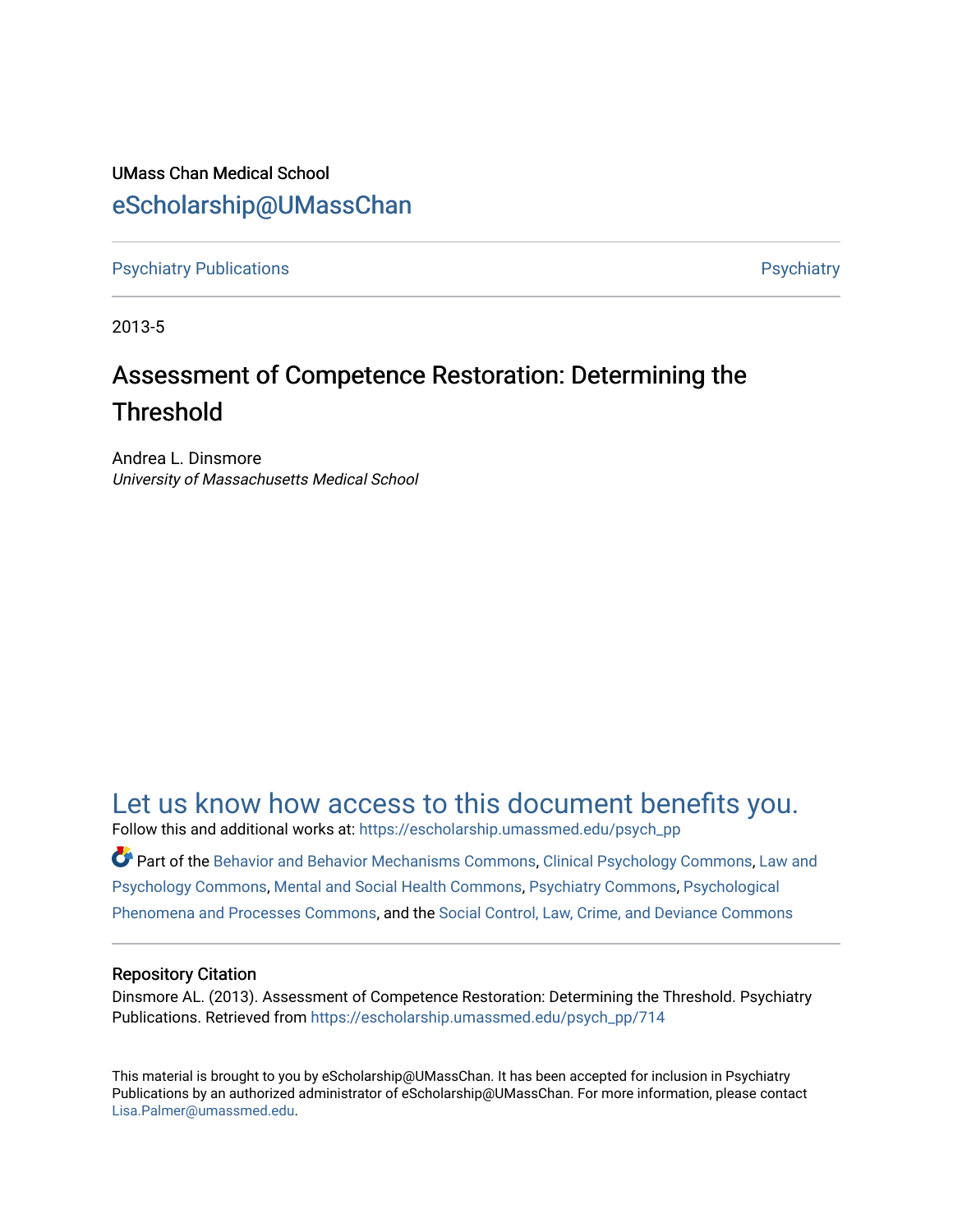UMass Chan Medical School [eScholarship@UMassChan](https://escholarship.umassmed.edu/) 

[Psychiatry Publications](https://escholarship.umassmed.edu/psych_pp) **Properties** [Psychiatry](https://escholarship.umassmed.edu/psychiatry) Publications **Psychiatry** 

2013-5

#### Assessment of Competence Restoration: Determining the **Threshold**

Andrea L. Dinsmore University of Massachusetts Medical School

#### [Let us know how access to this document benefits you.](https://arcsapps.umassmed.edu/redcap/surveys/?s=XWRHNF9EJE)

Follow this and additional works at: [https://escholarship.umassmed.edu/psych\\_pp](https://escholarship.umassmed.edu/psych_pp?utm_source=escholarship.umassmed.edu%2Fpsych_pp%2F714&utm_medium=PDF&utm_campaign=PDFCoverPages) 

Part of the [Behavior and Behavior Mechanisms Commons,](http://network.bepress.com/hgg/discipline/963?utm_source=escholarship.umassmed.edu%2Fpsych_pp%2F714&utm_medium=PDF&utm_campaign=PDFCoverPages) [Clinical Psychology Commons,](http://network.bepress.com/hgg/discipline/406?utm_source=escholarship.umassmed.edu%2Fpsych_pp%2F714&utm_medium=PDF&utm_campaign=PDFCoverPages) [Law and](http://network.bepress.com/hgg/discipline/870?utm_source=escholarship.umassmed.edu%2Fpsych_pp%2F714&utm_medium=PDF&utm_campaign=PDFCoverPages) [Psychology Commons,](http://network.bepress.com/hgg/discipline/870?utm_source=escholarship.umassmed.edu%2Fpsych_pp%2F714&utm_medium=PDF&utm_campaign=PDFCoverPages) [Mental and Social Health Commons,](http://network.bepress.com/hgg/discipline/709?utm_source=escholarship.umassmed.edu%2Fpsych_pp%2F714&utm_medium=PDF&utm_campaign=PDFCoverPages) [Psychiatry Commons,](http://network.bepress.com/hgg/discipline/704?utm_source=escholarship.umassmed.edu%2Fpsych_pp%2F714&utm_medium=PDF&utm_campaign=PDFCoverPages) [Psychological](http://network.bepress.com/hgg/discipline/914?utm_source=escholarship.umassmed.edu%2Fpsych_pp%2F714&utm_medium=PDF&utm_campaign=PDFCoverPages) [Phenomena and Processes Commons](http://network.bepress.com/hgg/discipline/914?utm_source=escholarship.umassmed.edu%2Fpsych_pp%2F714&utm_medium=PDF&utm_campaign=PDFCoverPages), and the [Social Control, Law, Crime, and Deviance Commons](http://network.bepress.com/hgg/discipline/429?utm_source=escholarship.umassmed.edu%2Fpsych_pp%2F714&utm_medium=PDF&utm_campaign=PDFCoverPages) 

#### Repository Citation

Dinsmore AL. (2013). Assessment of Competence Restoration: Determining the Threshold. Psychiatry Publications. Retrieved from [https://escholarship.umassmed.edu/psych\\_pp/714](https://escholarship.umassmed.edu/psych_pp/714?utm_source=escholarship.umassmed.edu%2Fpsych_pp%2F714&utm_medium=PDF&utm_campaign=PDFCoverPages)

This material is brought to you by eScholarship@UMassChan. It has been accepted for inclusion in Psychiatry Publications by an authorized administrator of eScholarship@UMassChan. For more information, please contact [Lisa.Palmer@umassmed.edu](mailto:Lisa.Palmer@umassmed.edu).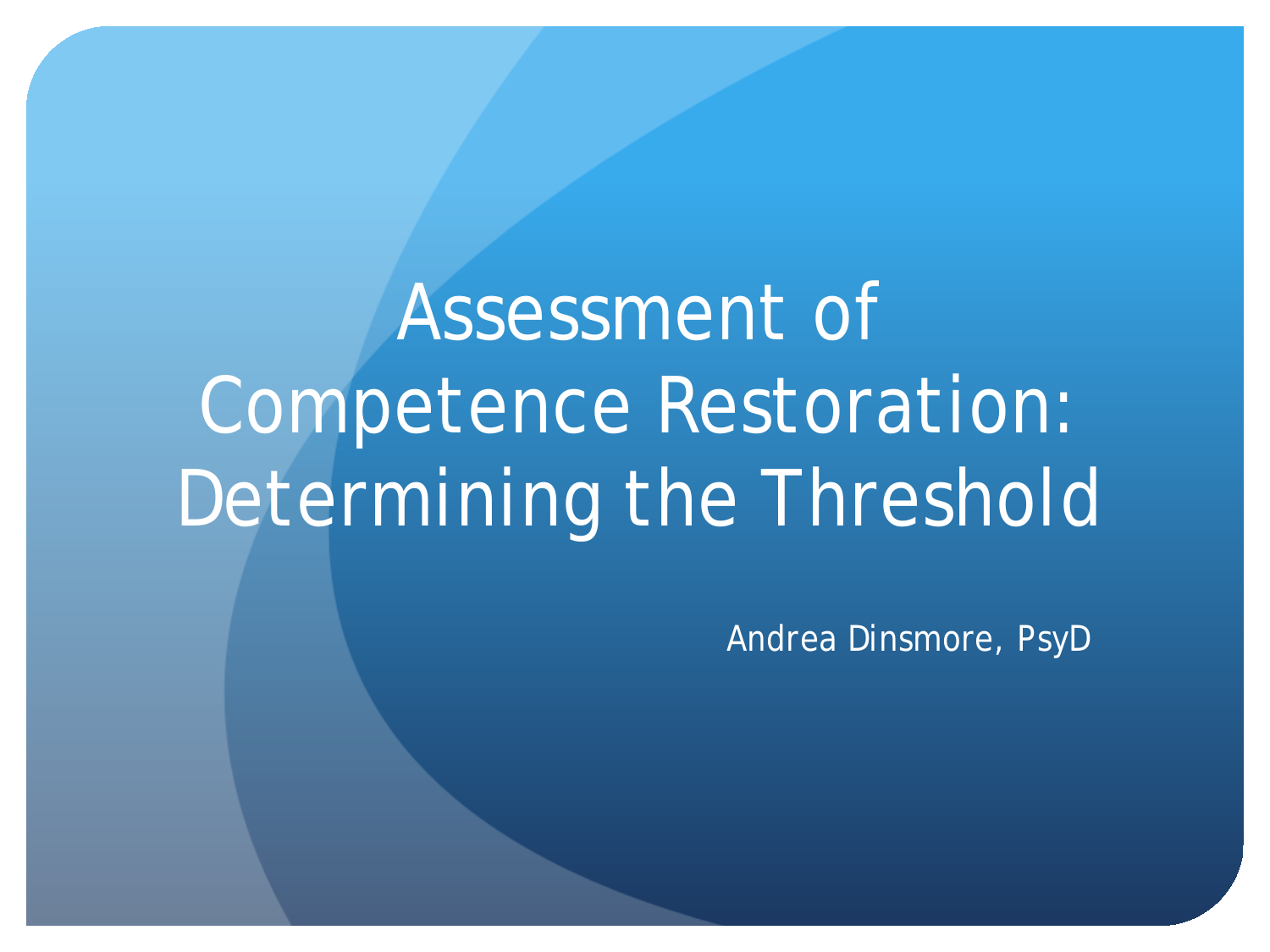Assessment of Competence Restoration: Determining the Threshold

Andrea Dinsmore, PsyD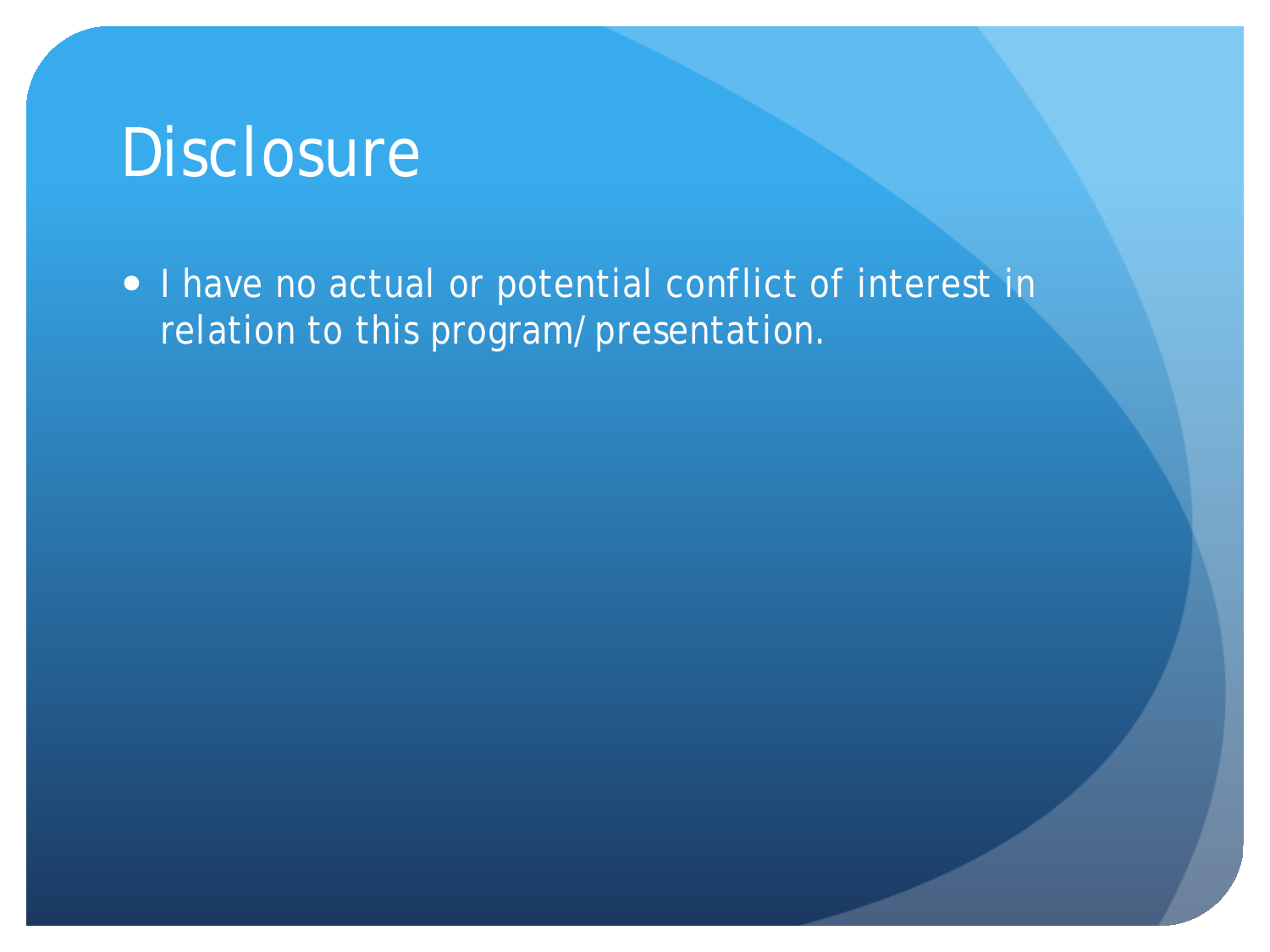# **Disclosure**

• I have no actual or potential conflict of interest in relation to this program/presentation.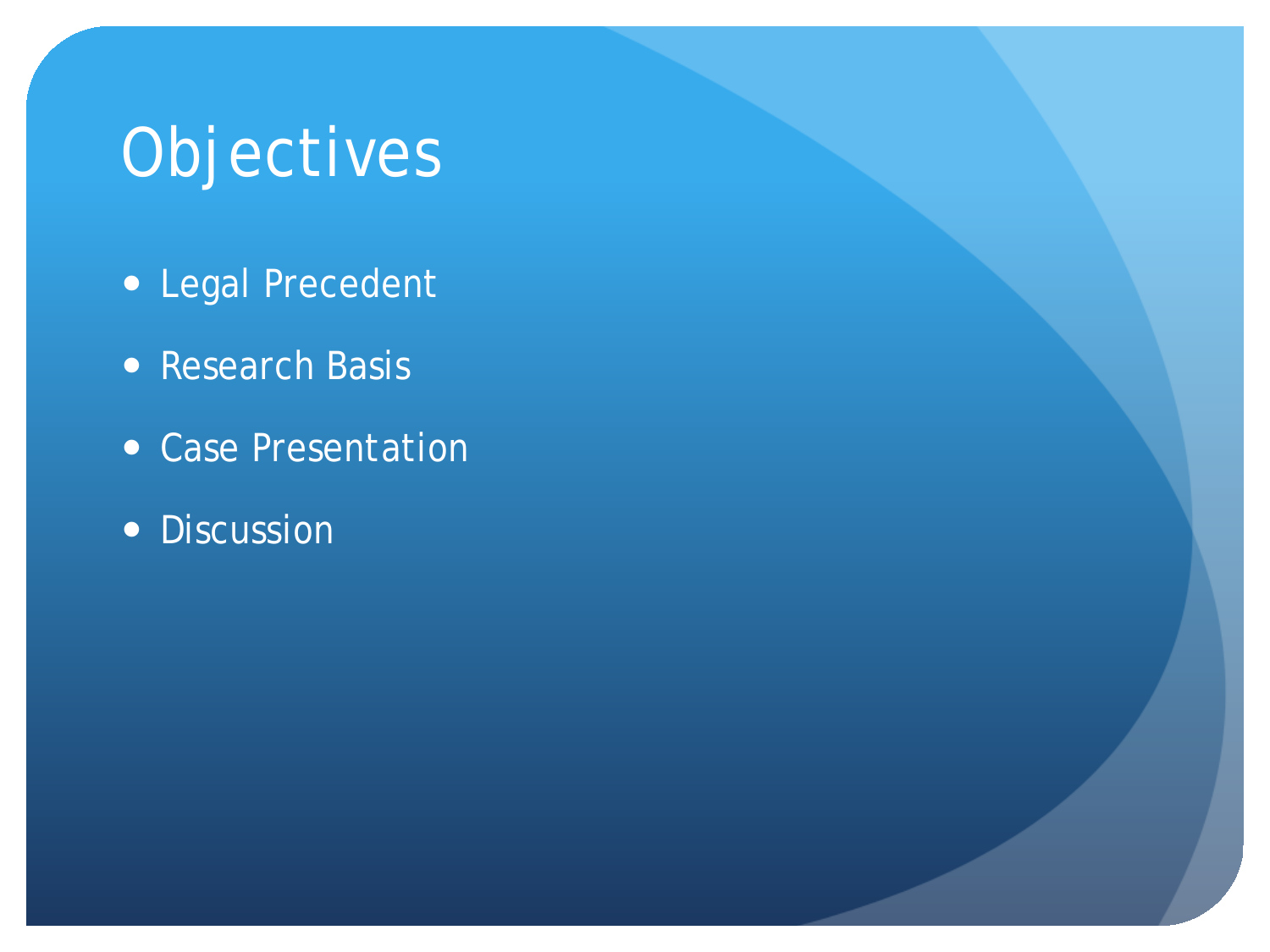# Objectives

- Legal Precedent
- Research Basis
- Case Presentation
- Discussion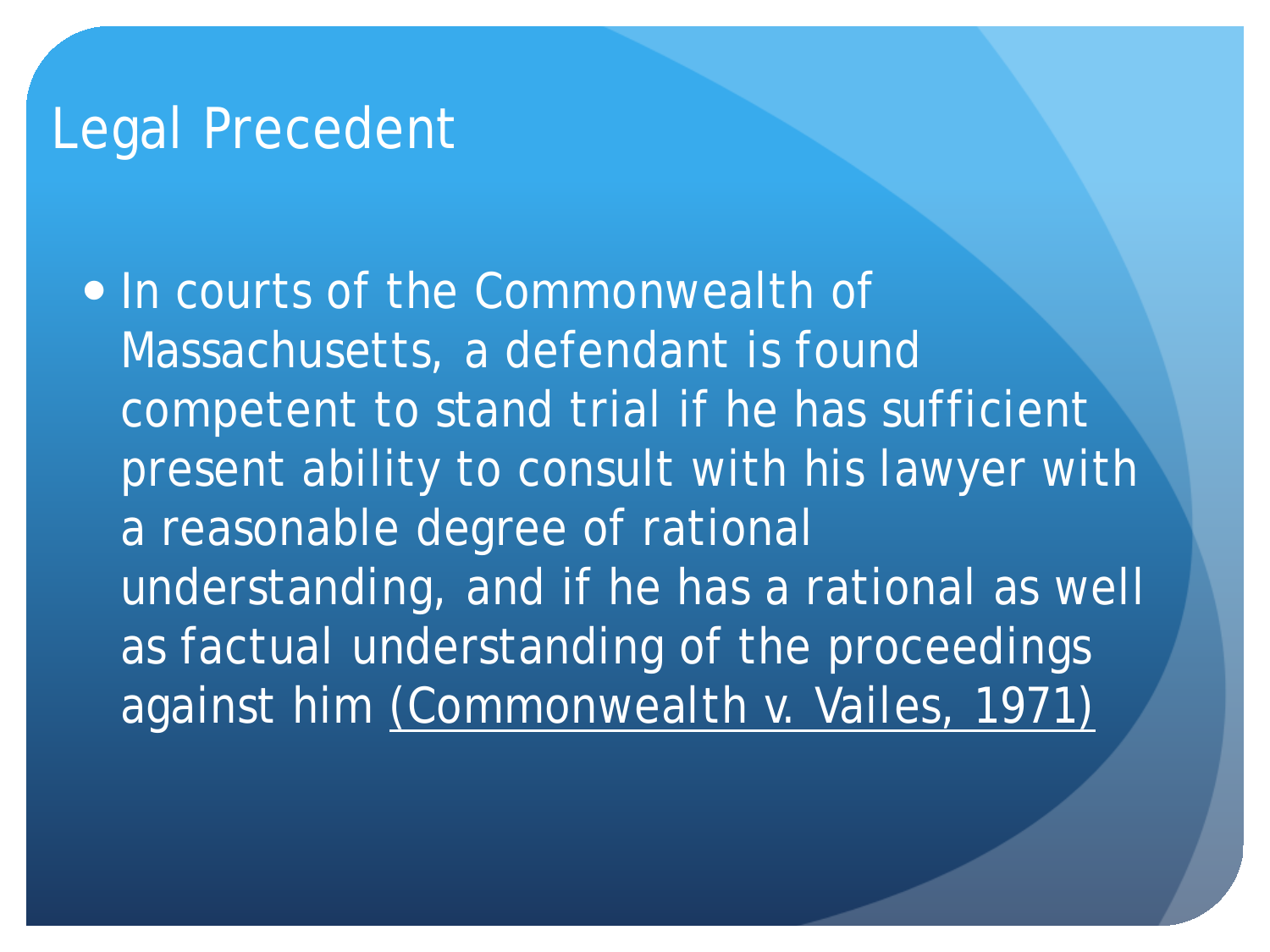#### Legal Precedent

• In courts of the Commonwealth of Massachusetts, a defendant is found competent to stand trial if he has sufficient present ability to consult with his lawyer with a reasonable degree of rational understanding, and if he has a rational as well as factual understanding of the proceedings against him (Commonwealth v. Vailes, 1971)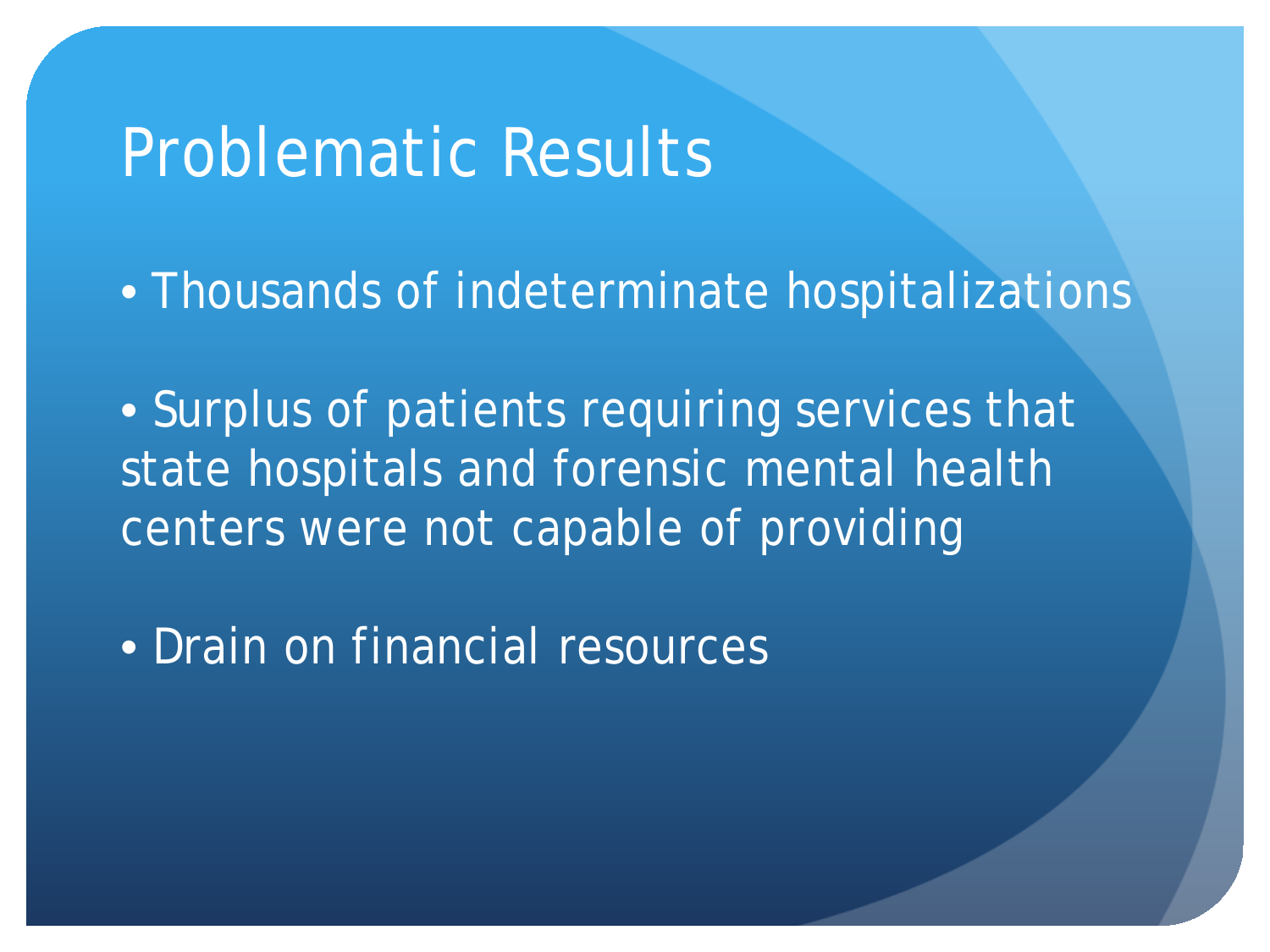### Problematic Results

• Thousands of indeterminate hospitalizations

• Surplus of patients requiring services that state hospitals and forensic mental health centers were not capable of providing

• Drain on financial resources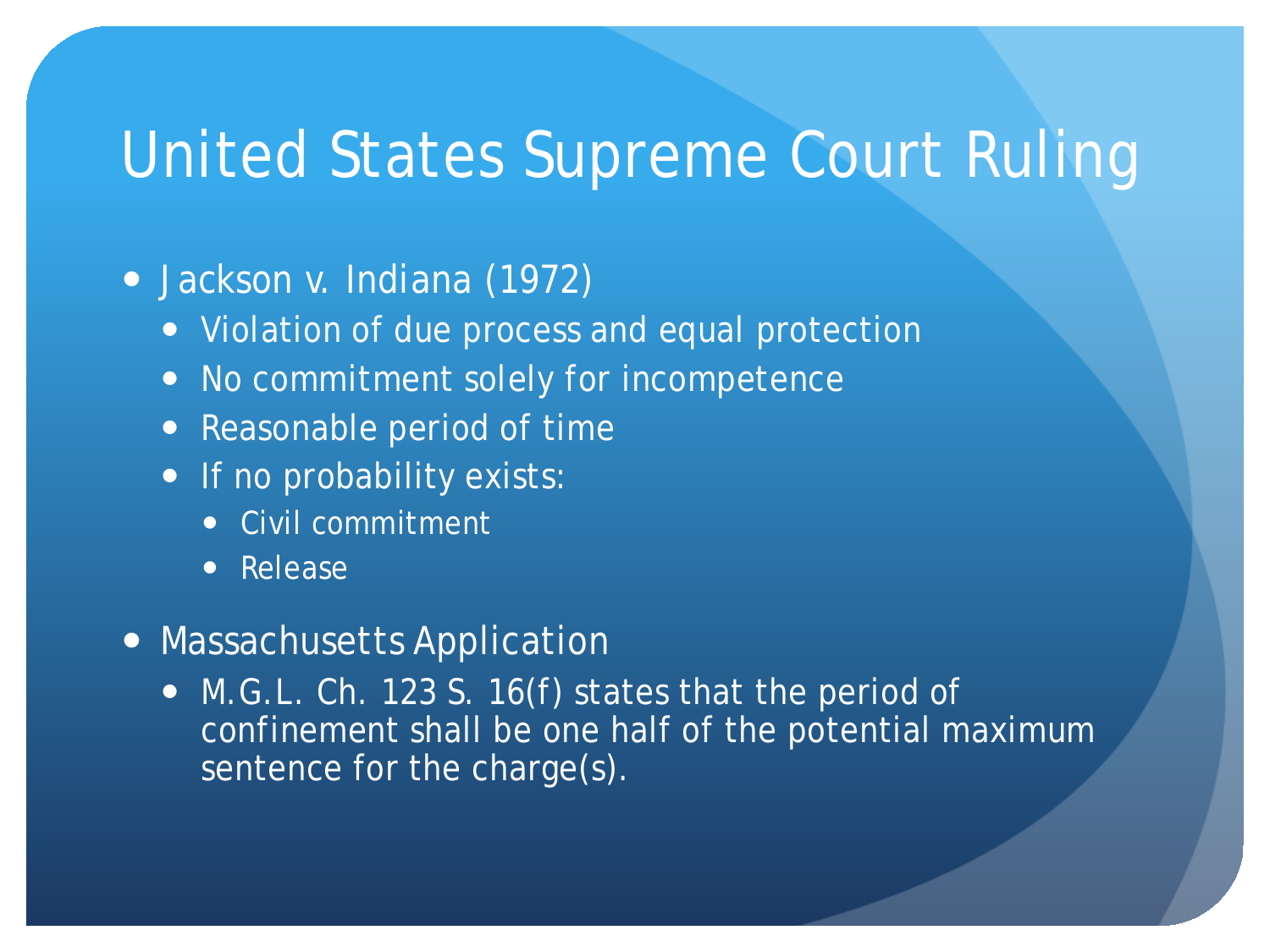#### United States Supreme Court Ruling

#### *Jackson v. Indiana* (1972)

- Violation of due process and equal protection
- No commitment solely for incompetence
- Reasonable period of time
- If no probability exists:
	- Civil commitment
	- Release

#### • Massachusetts Application

 M.G.L. Ch. 123 S. 16(f) states that the period of confinement shall be one half of the potential maximum sentence for the charge(s).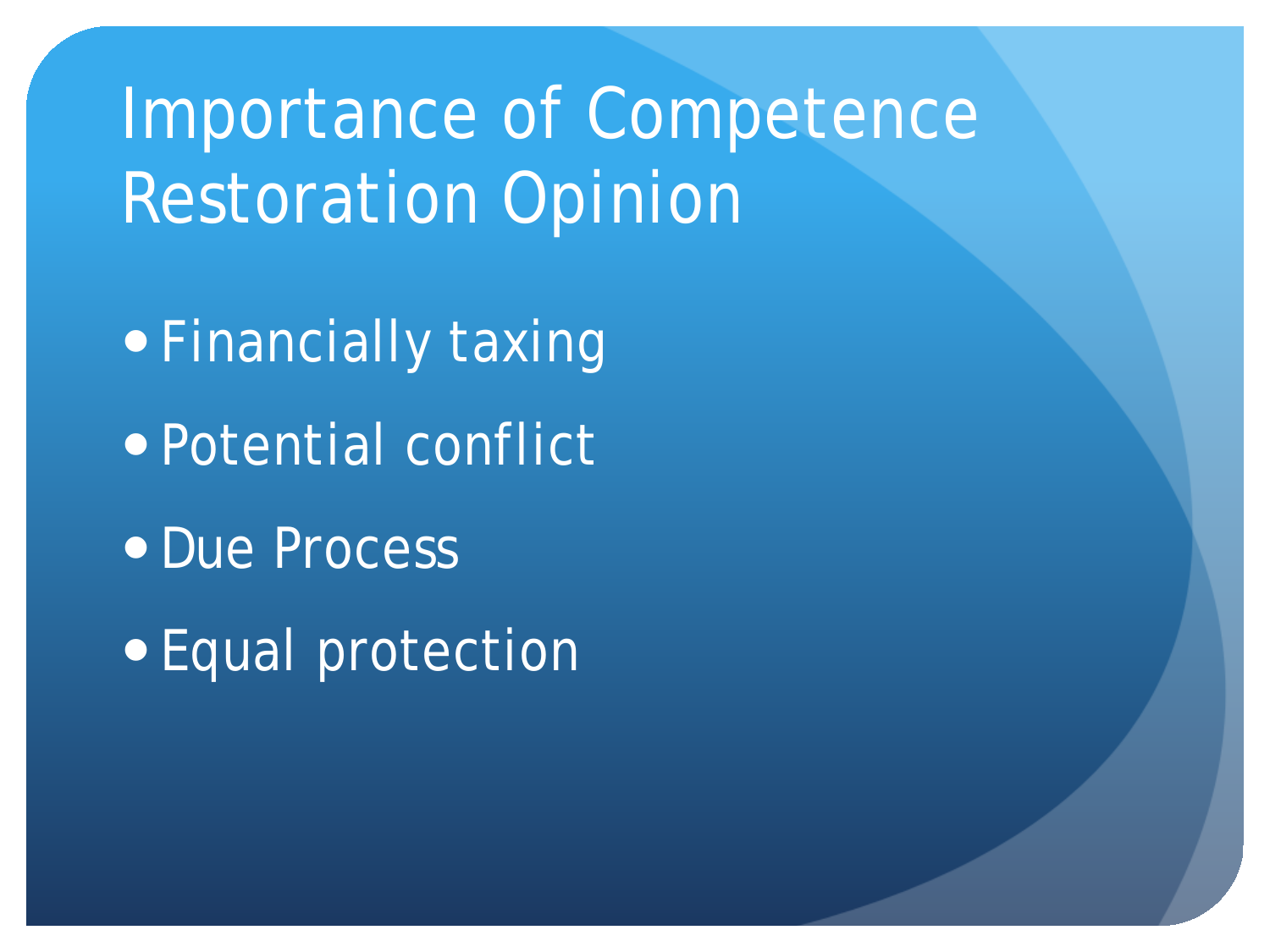# Importance of Competence Restoration Opinion

**• Financially taxing** Potential conflict • Due Process Equal protection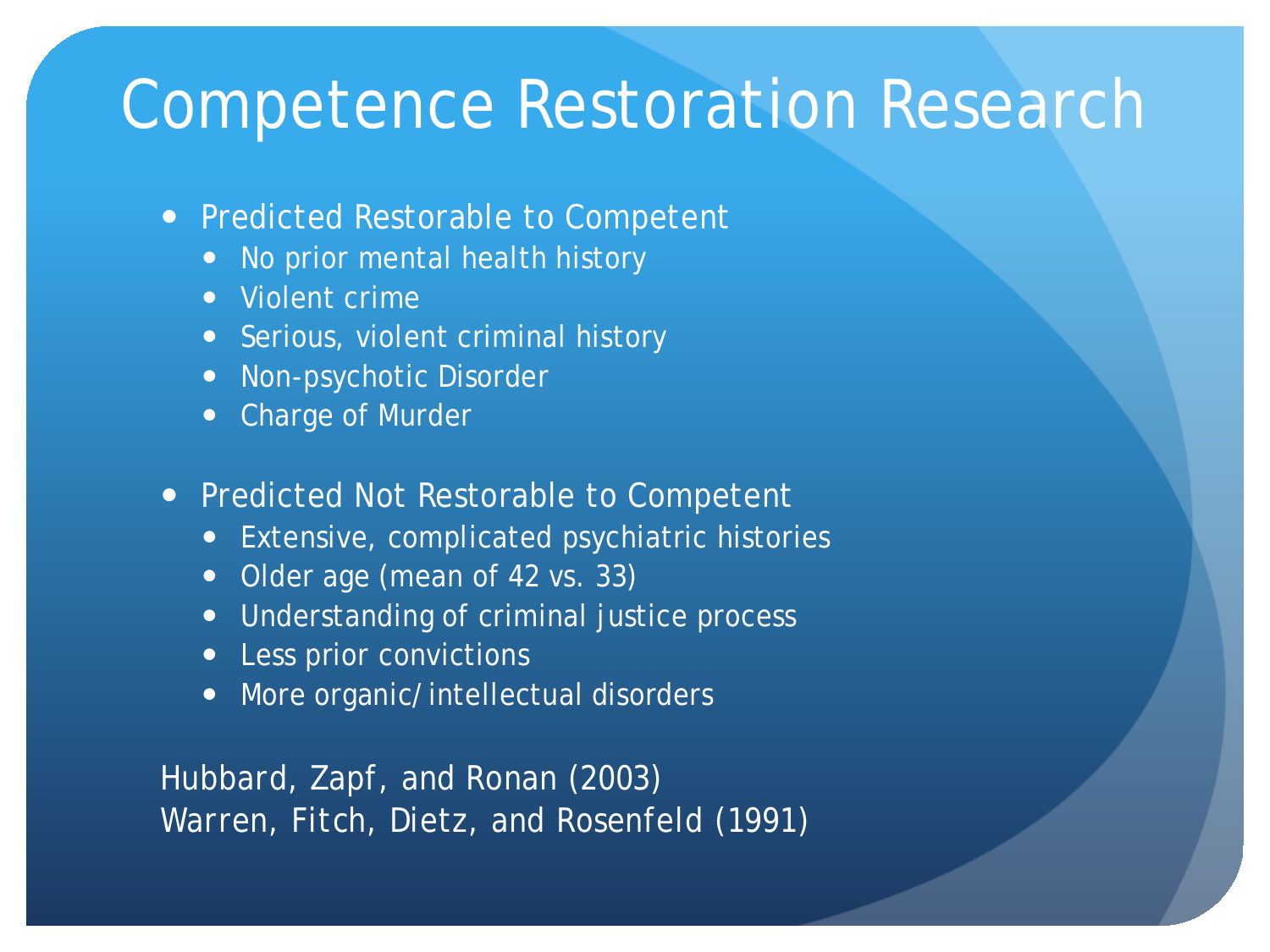## Competence Restoration Research

- Predicted Restorable to Competent
	- No prior mental health history
	- Violent crime
	- Serious, violent criminal history
	- Non-psychotic Disorder
	- **.** Charge of Murder
- Predicted Not Restorable to Competent
	- Extensive, complicated psychiatric histories
	- Older age (mean of 42 vs. 33)
	- Understanding of criminal justice process
	- Less prior convictions
	- More organic/intellectual disorders

*Hubbard, Zapf, and Ronan (2003) Warren, Fitch, Dietz, and Rosenfeld (1991)*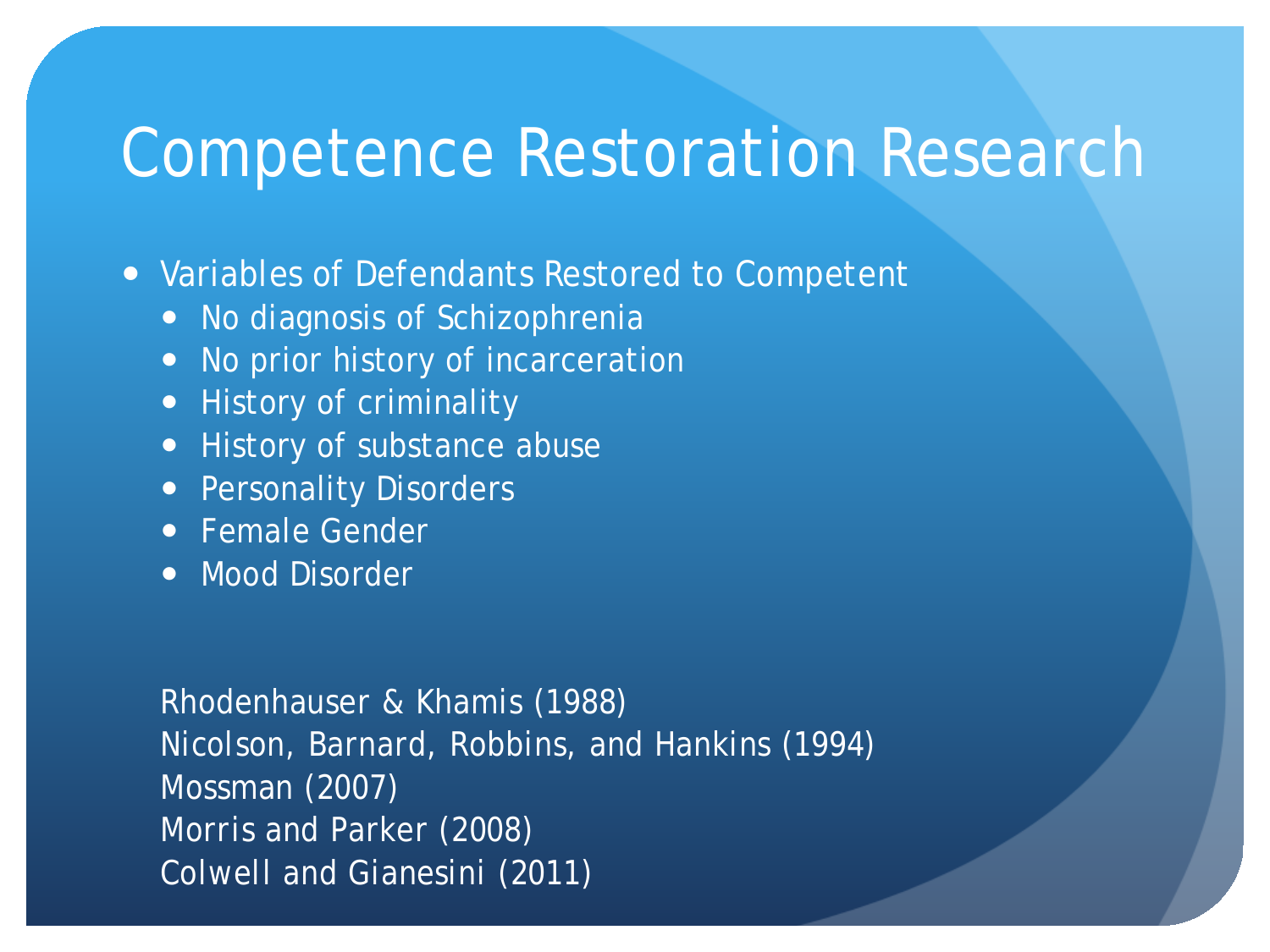### Competence Restoration Research

Variables of Defendants Restored to Competent

- No diagnosis of Schizophrenia
- No prior history of incarceration
- History of criminality
- History of substance abuse
- **•** Personality Disorders
- **•** Female Gender
- Mood Disorder

*Rhodenhauser & Khamis (1988) Nicolson, Barnard, Robbins, and Hankins (1994) Mossman (2007) Morris and Parker (2008) Colwell and Gianesini (2011)*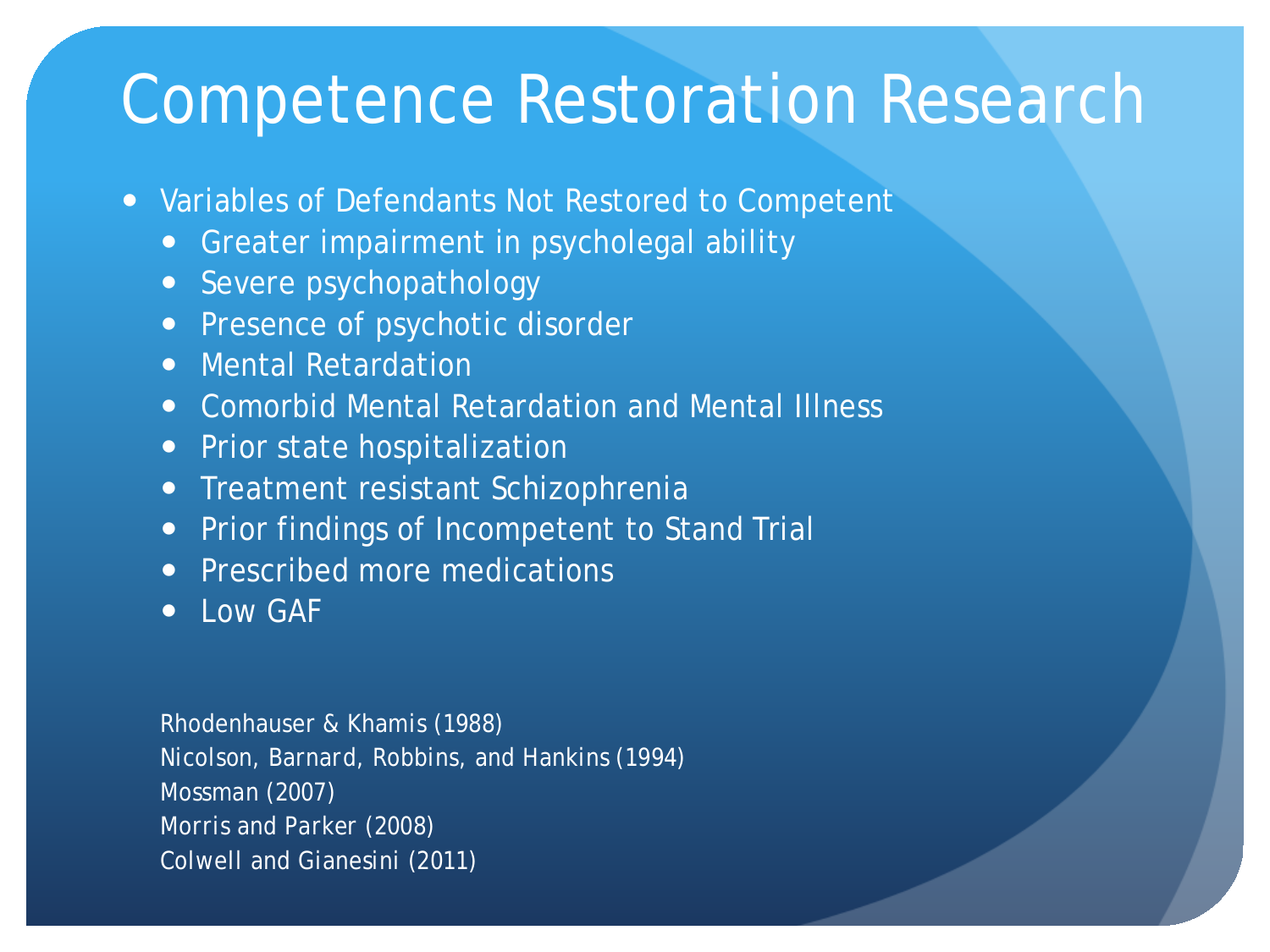## Competence Restoration Research

- **Variables of Defendants Not Restored to Competent** 
	- Greater impairment in psycholegal ability
	- Severe psychopathology
	- Presence of psychotic disorder
	- **•** Mental Retardation
	- Comorbid Mental Retardation and Mental Illness
	- Prior state hospitalization
	- **•** Treatment resistant Schizophrenia
	- Prior findings of Incompetent to Stand Trial
	- Prescribed more medications
	- Low GAF

*Rhodenhauser & Khamis (1988) Nicolson, Barnard, Robbins, and Hankins (1994) Mossman (2007) Morris and Parker (2008) Colwell and Gianesini (2011)*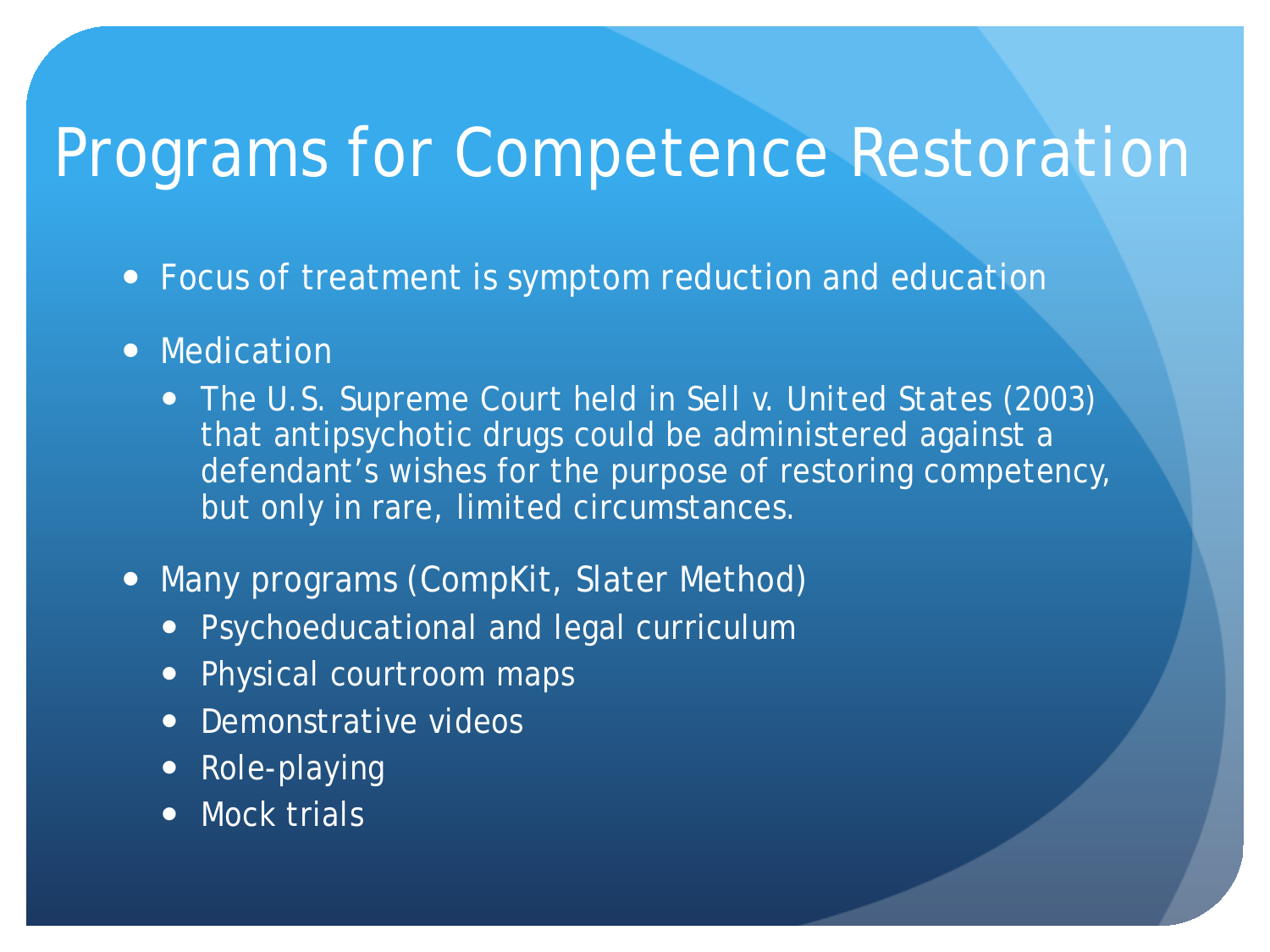# Programs for Competence Restoration

- Focus of treatment is symptom reduction and education
- Medication
	- The U.S. Supreme Court held in *Sell v. United States (2003)* that antipsychotic drugs could be administered against a defendant's wishes for the purpose of restoring competency, but only in rare, limited circumstances.
- Many programs (CompKit, Slater Method)
	- Psychoeducational and legal curriculum
	- Physical courtroom maps
	- Demonstrative videos
	- Role-playing
	- Mock trials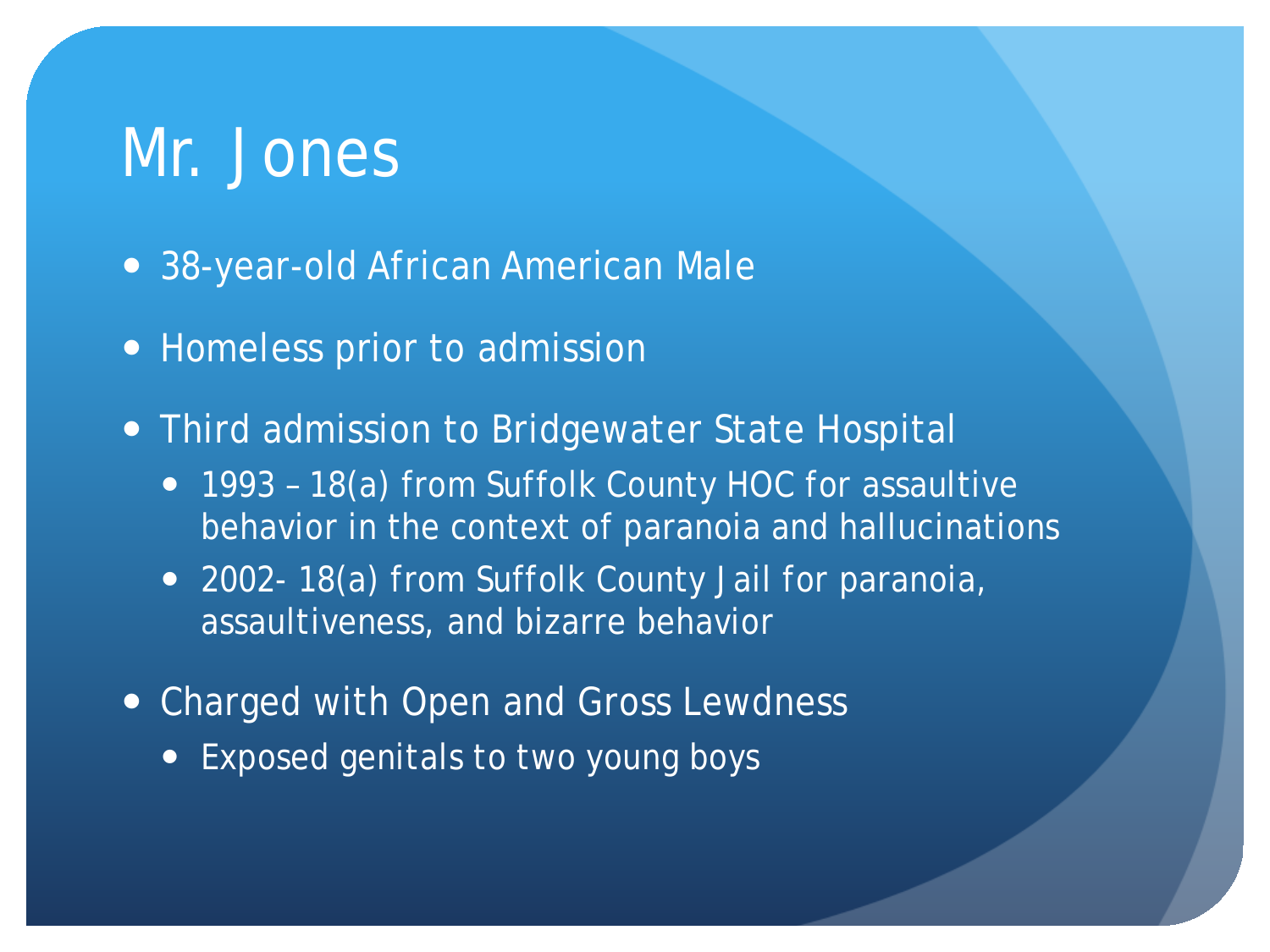#### Mr. Jones

- 38-year-old African American Male
- Homeless prior to admission
- Third admission to Bridgewater State Hospital
	- 1993 18(a) from Suffolk County HOC for assaultive behavior in the context of paranoia and hallucinations
	- 2002- 18(a) from Suffolk County Jail for paranoia, assaultiveness, and bizarre behavior
- Charged with Open and Gross Lewdness
	- **•** Exposed genitals to two young boys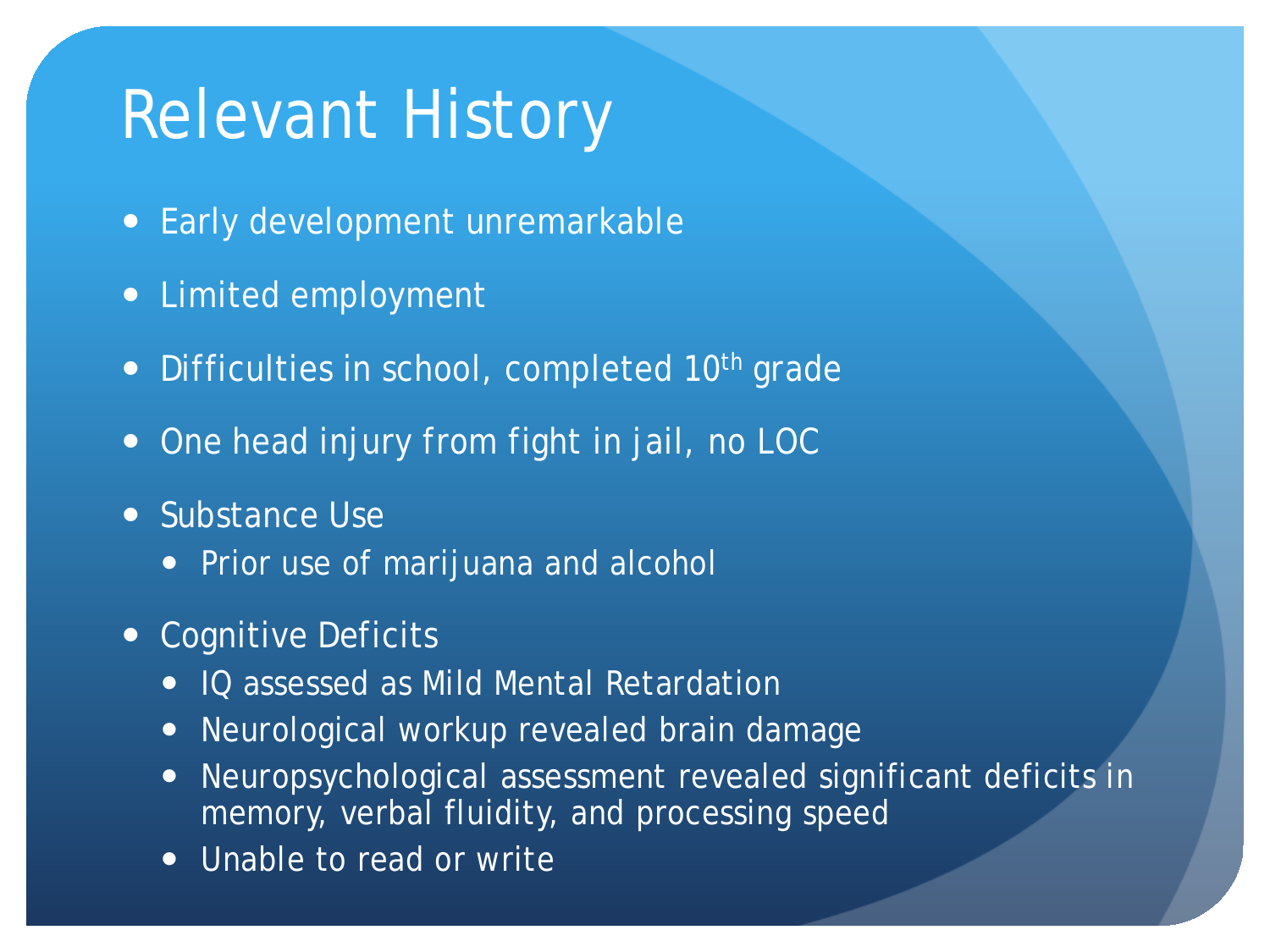## Relevant History

- Early development unremarkable
- Limited employment
- Difficulties in school, completed 10<sup>th</sup> grade
- One head injury from fight in jail, no LOC
- Substance Use
	- Prior use of marijuana and alcohol
- Cognitive Deficits
	- IQ assessed as Mild Mental Retardation
	- Neurological workup revealed brain damage
	- Neuropsychological assessment revealed significant deficits in memory, verbal fluidity, and processing speed
	- Unable to read or write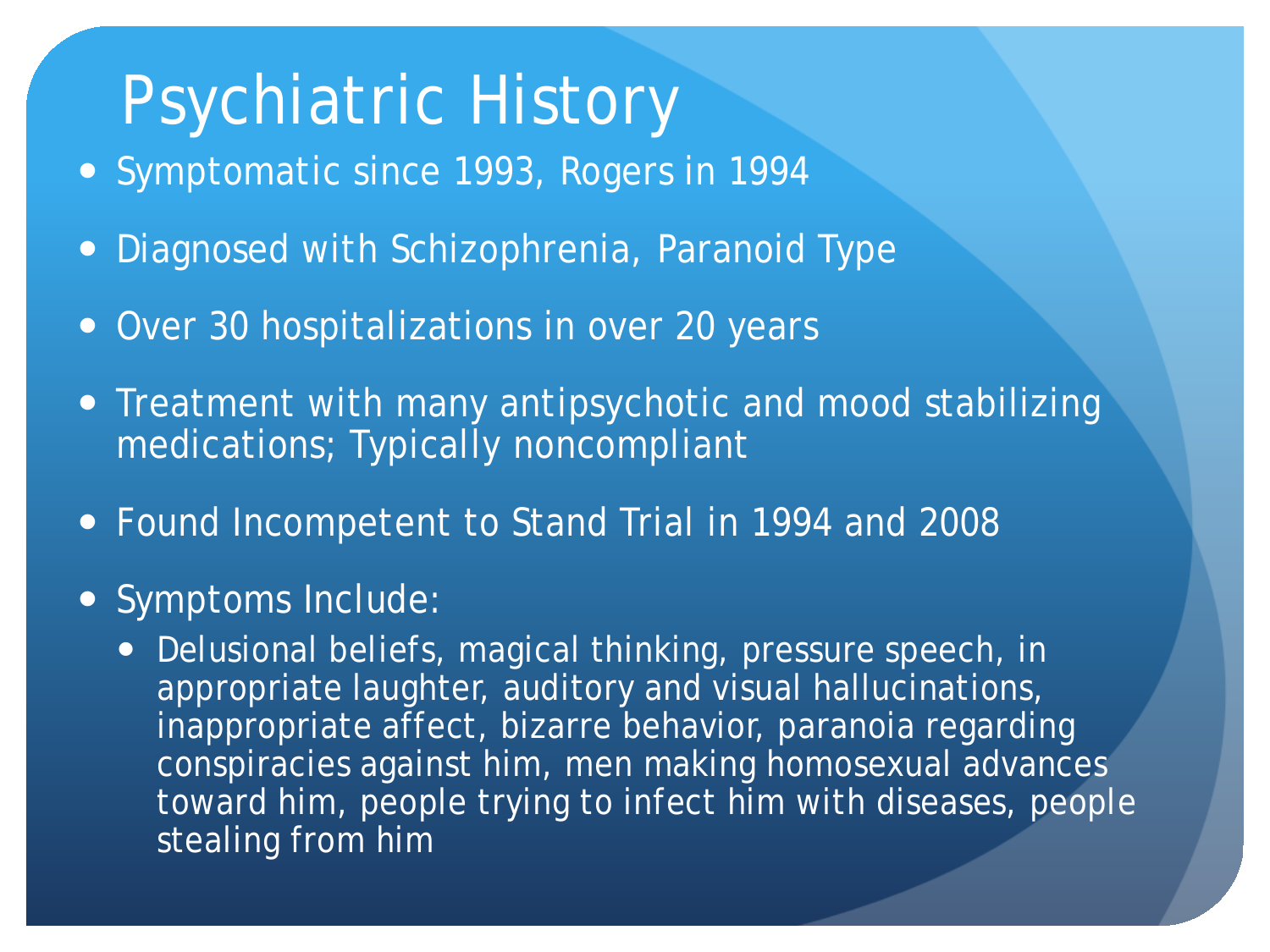# Psychiatric History

- Symptomatic since 1993, Rogers in 1994
- Diagnosed with Schizophrenia, Paranoid Type
- Over 30 hospitalizations in over 20 years
- Treatment with many antipsychotic and mood stabilizing medications; Typically noncompliant
- Found Incompetent to Stand Trial in 1994 and 2008
- Symptoms Include:
	- Delusional beliefs, magical thinking, pressure speech, in appropriate laughter, auditory and visual hallucinations, inappropriate affect, bizarre behavior, paranoia regarding conspiracies against him, men making homosexual advances toward him, people trying to infect him with diseases, people stealing from him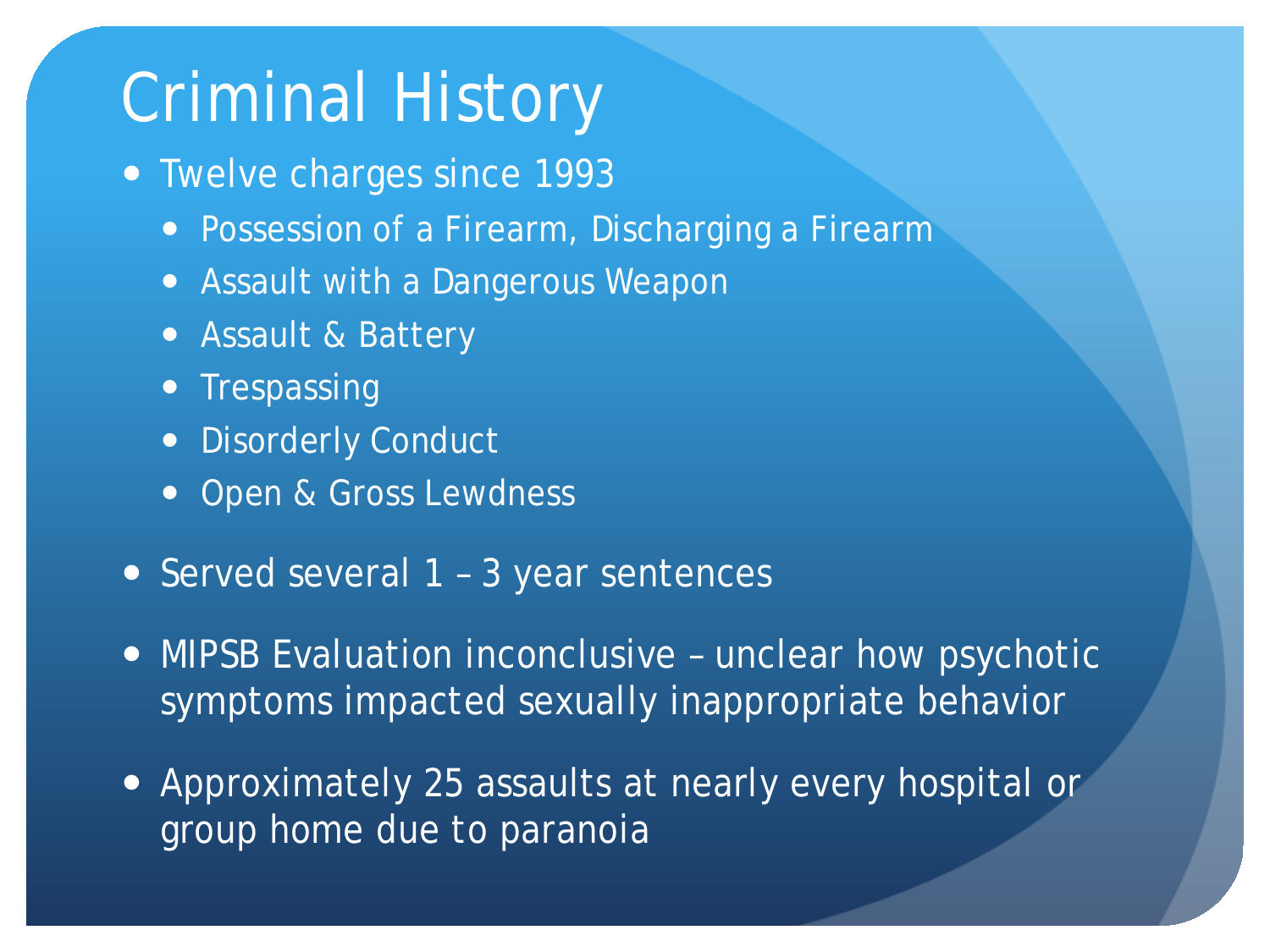# Criminal History

- Twelve charges since 1993
	- Possession of a Firearm, Discharging a Firearm
	- Assault with a Dangerous Weapon
	- Assault & Battery
	- Trespassing
	- **.** Disorderly Conduct
	- Open & Gross Lewdness
- Served several 1 3 year sentences
- MIPSB Evaluation inconclusive unclear how psychotic symptoms impacted sexually inappropriate behavior
- Approximately 25 assaults at nearly every hospital or group home due to paranoia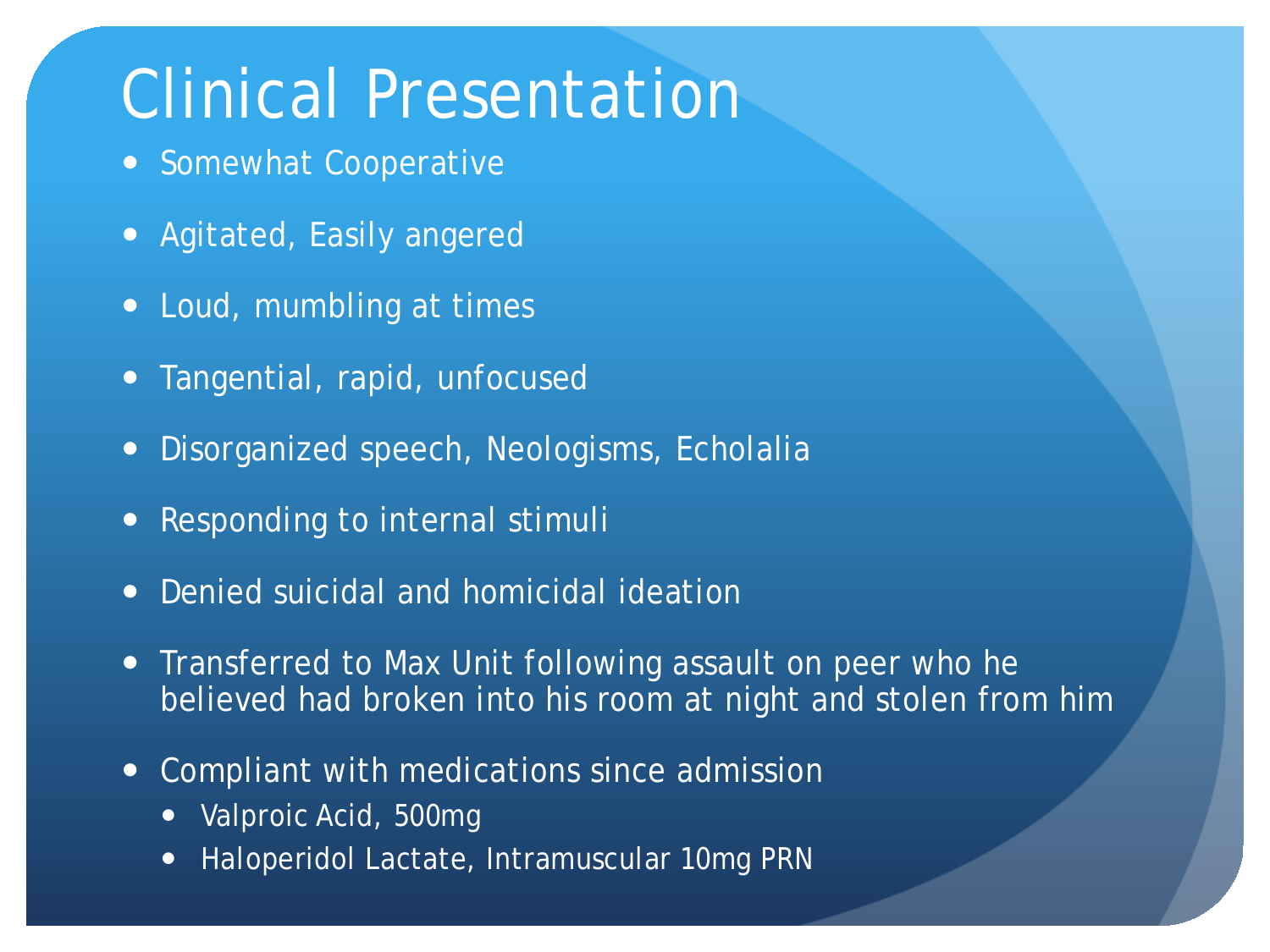# Clinical Presentation

- **Somewhat Cooperative**
- Agitated, Easily angered
- Loud, mumbling at times
- Tangential, rapid, unfocused
- Disorganized speech, Neologisms, Echolalia
- Responding to internal stimuli
- Denied suicidal and homicidal ideation
- Transferred to Max Unit following assault on peer who he believed had broken into his room at night and stolen from him
- Compliant with medications since admission
	- Valproic Acid, 500mg
	- Haloperidol Lactate, Intramuscular 10mg PRN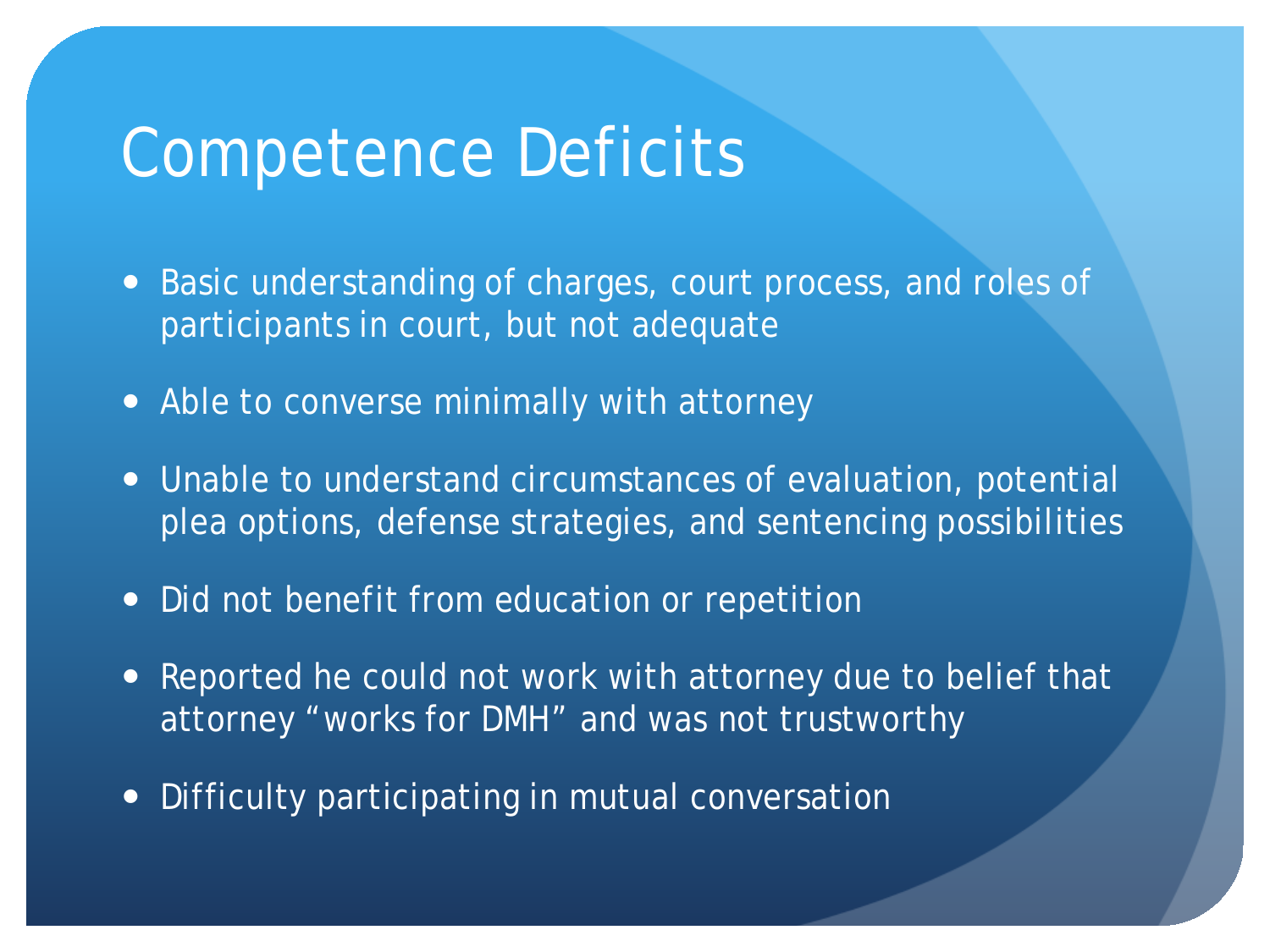#### Competence Deficits

- Basic understanding of charges, court process, and roles of participants in court, but not adequate
- Able to converse minimally with attorney
- Unable to understand circumstances of evaluation, potential plea options, defense strategies, and sentencing possibilities
- Did not benefit from education or repetition
- Reported he could not work with attorney due to belief that attorney "works for DMH" and was not trustworthy
- **Difficulty participating in mutual conversation**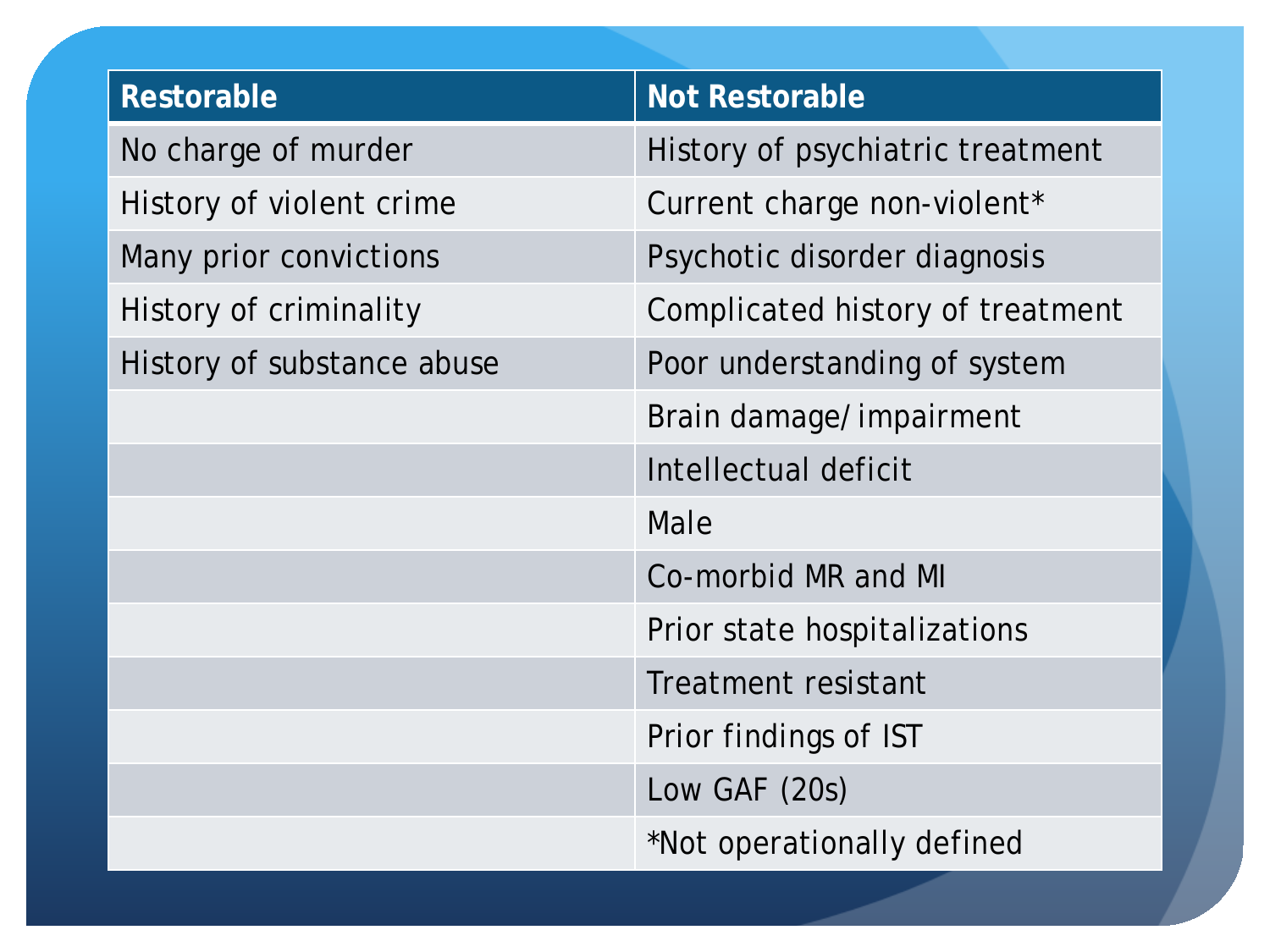| <b>Restorable</b>          | <b>Not Restorable</b>            |
|----------------------------|----------------------------------|
| No charge of murder        | History of psychiatric treatment |
| History of violent crime   | Current charge non-violent*      |
| Many prior convictions     | Psychotic disorder diagnosis     |
| History of criminality     | Complicated history of treatment |
| History of substance abuse | Poor understanding of system     |
|                            | Brain damage/impairment          |
|                            | Intellectual deficit             |
|                            | Male                             |
|                            | Co-morbid MR and MI              |
|                            | Prior state hospitalizations     |
|                            | Treatment resistant              |
|                            | Prior findings of IST            |
|                            | Low GAF (20s)                    |
|                            | *Not operationally defined       |